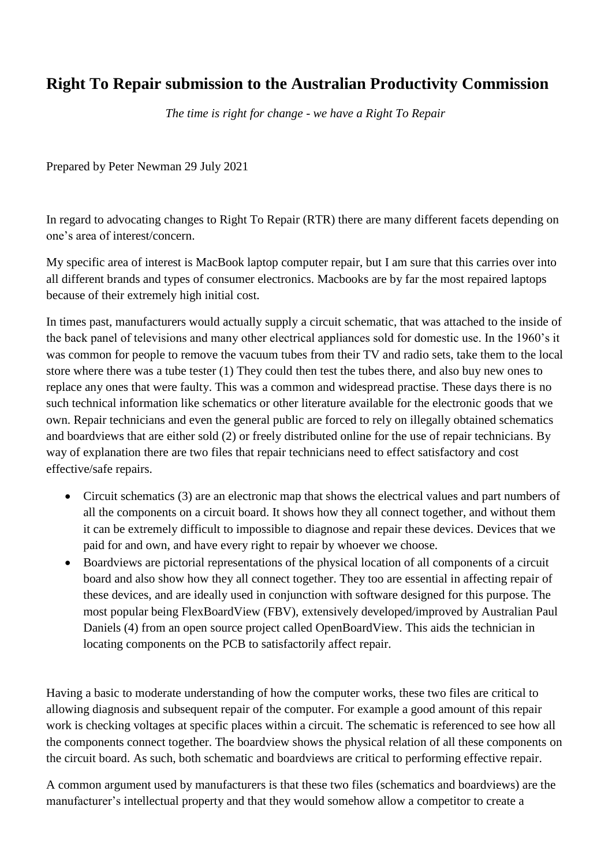## **Right To Repair submission to the Australian Productivity Commission**

*The time is right for change - we have a Right To Repair*

Prepared by Peter Newman 29 July 2021

In regard to advocating changes to Right To Repair (RTR) there are many different facets depending on one's area of interest/concern.

My specific area of interest is MacBook laptop computer repair, but I am sure that this carries over into all different brands and types of consumer electronics. Macbooks are by far the most repaired laptops because of their extremely high initial cost.

In times past, manufacturers would actually supply a circuit schematic, that was attached to the inside of the back panel of televisions and many other electrical appliances sold for domestic use. In the 1960's it was common for people to remove the vacuum tubes from their TV and radio sets, take them to the local store where there was a tube tester (1) They could then test the tubes there, and also buy new ones to replace any ones that were faulty. This was a common and widespread practise. These days there is no such technical information like schematics or other literature available for the electronic goods that we own. Repair technicians and even the general public are forced to rely on illegally obtained schematics and boardviews that are either sold (2) or freely distributed online for the use of repair technicians. By way of explanation there are two files that repair technicians need to effect satisfactory and cost effective/safe repairs.

- Circuit schematics (3) are an electronic map that shows the electrical values and part numbers of all the components on a circuit board. It shows how they all connect together, and without them it can be extremely difficult to impossible to diagnose and repair these devices. Devices that we paid for and own, and have every right to repair by whoever we choose.
- Boardviews are pictorial representations of the physical location of all components of a circuit board and also show how they all connect together. They too are essential in affecting repair of these devices, and are ideally used in conjunction with software designed for this purpose. The most popular being FlexBoardView (FBV), extensively developed/improved by Australian Paul Daniels (4) from an open source project called OpenBoardView. This aids the technician in locating components on the PCB to satisfactorily affect repair.

Having a basic to moderate understanding of how the computer works, these two files are critical to allowing diagnosis and subsequent repair of the computer. For example a good amount of this repair work is checking voltages at specific places within a circuit. The schematic is referenced to see how all the components connect together. The boardview shows the physical relation of all these components on the circuit board. As such, both schematic and boardviews are critical to performing effective repair.

A common argument used by manufacturers is that these two files (schematics and boardviews) are the manufacturer's intellectual property and that they would somehow allow a competitor to create a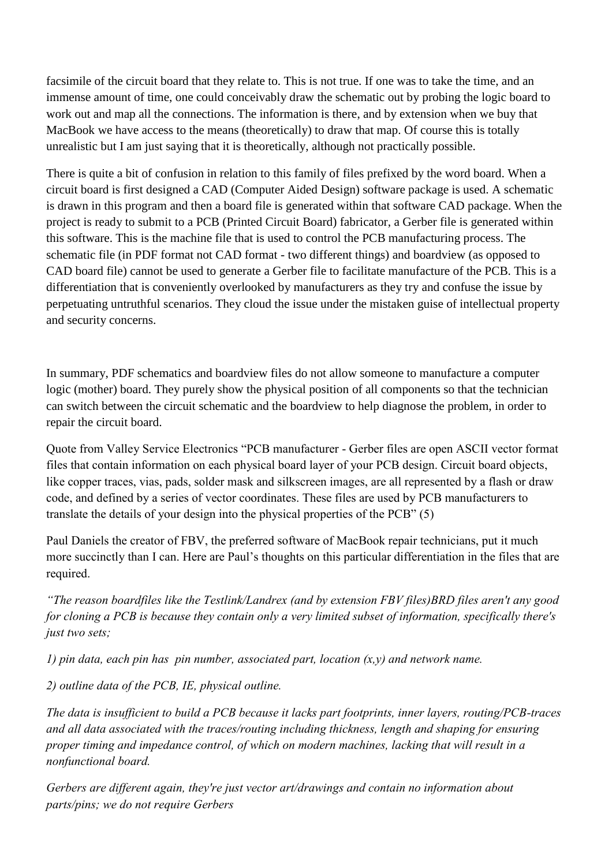facsimile of the circuit board that they relate to. This is not true. If one was to take the time, and an immense amount of time, one could conceivably draw the schematic out by probing the logic board to work out and map all the connections. The information is there, and by extension when we buy that MacBook we have access to the means (theoretically) to draw that map. Of course this is totally unrealistic but I am just saying that it is theoretically, although not practically possible.

There is quite a bit of confusion in relation to this family of files prefixed by the word board. When a circuit board is first designed a CAD (Computer Aided Design) software package is used. A schematic is drawn in this program and then a board file is generated within that software CAD package. When the project is ready to submit to a PCB (Printed Circuit Board) fabricator, a Gerber file is generated within this software. This is the machine file that is used to control the PCB manufacturing process. The schematic file (in PDF format not CAD format - two different things) and boardview (as opposed to CAD board file) cannot be used to generate a Gerber file to facilitate manufacture of the PCB. This is a differentiation that is conveniently overlooked by manufacturers as they try and confuse the issue by perpetuating untruthful scenarios. They cloud the issue under the mistaken guise of intellectual property and security concerns.

In summary, PDF schematics and boardview files do not allow someone to manufacture a computer logic (mother) board. They purely show the physical position of all components so that the technician can switch between the circuit schematic and the boardview to help diagnose the problem, in order to repair the circuit board.

Quote from Valley Service Electronics "PCB manufacturer - Gerber files are open ASCII vector format files that contain information on each physical board layer of your PCB design. Circuit board objects, like copper traces, vias, pads, solder mask and silkscreen images, are all represented by a flash or draw code, and defined by a series of vector coordinates. These files are used by PCB manufacturers to translate the details of your design into the physical properties of the PCB" (5)

Paul Daniels the creator of FBV, the preferred software of MacBook repair technicians, put it much more succinctly than I can. Here are Paul's thoughts on this particular differentiation in the files that are required.

*"The reason boardfiles like the Testlink/Landrex (and by extension FBV files)BRD files aren't any good for cloning a PCB is because they contain only a very limited subset of information, specifically there's just two sets;*

*1) pin data, each pin has pin number, associated part, location (x,y) and network name.* 

*2) outline data of the PCB, IE, physical outline.*

*The data is insufficient to build a PCB because it lacks part footprints, inner layers, routing/PCB-traces and all data associated with the traces/routing including thickness, length and shaping for ensuring proper timing and impedance control, of which on modern machines, lacking that will result in a nonfunctional board.*

*Gerbers are different again, they're just vector art/drawings and contain no information about parts/pins; we do not require Gerbers*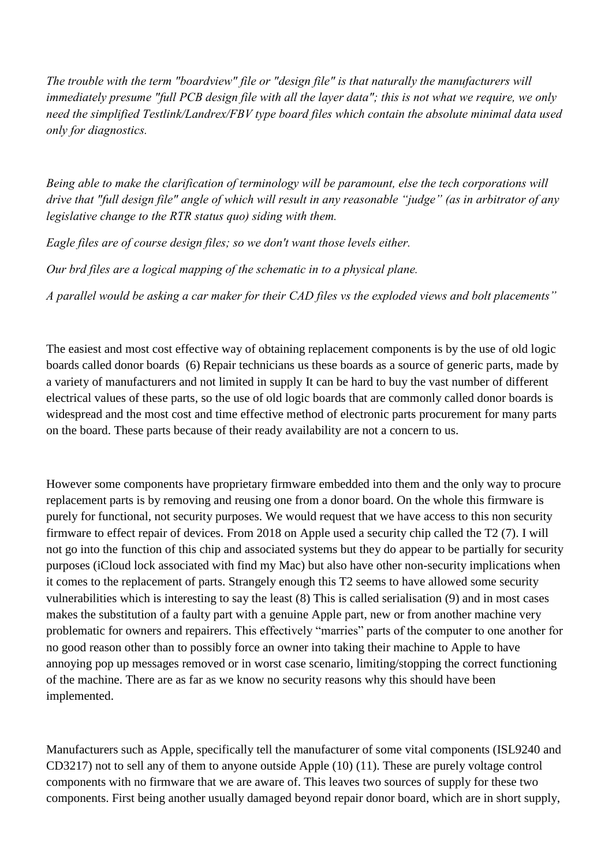*The trouble with the term "boardview" file or "design file" is that naturally the manufacturers will immediately presume "full PCB design file with all the layer data"; this is not what we require, we only need the simplified Testlink/Landrex/FBV type board files which contain the absolute minimal data used only for diagnostics.*

*Being able to make the clarification of terminology will be paramount, else the tech corporations will drive that "full design file" angle of which will result in any reasonable "judge" (as in arbitrator of any legislative change to the RTR status quo) siding with them.*

*Eagle files are of course design files; so we don't want those levels either.*

*Our brd files are a logical mapping of the schematic in to a physical plane.*

*A parallel would be asking a car maker for their CAD files vs the exploded views and bolt placements"*

The easiest and most cost effective way of obtaining replacement components is by the use of old logic boards called donor boards (6) Repair technicians us these boards as a source of generic parts, made by a variety of manufacturers and not limited in supply It can be hard to buy the vast number of different electrical values of these parts, so the use of old logic boards that are commonly called donor boards is widespread and the most cost and time effective method of electronic parts procurement for many parts on the board. These parts because of their ready availability are not a concern to us.

However some components have proprietary firmware embedded into them and the only way to procure replacement parts is by removing and reusing one from a donor board. On the whole this firmware is purely for functional, not security purposes. We would request that we have access to this non security firmware to effect repair of devices. From 2018 on Apple used a security chip called the T2 (7). I will not go into the function of this chip and associated systems but they do appear to be partially for security purposes (iCloud lock associated with find my Mac) but also have other non-security implications when it comes to the replacement of parts. Strangely enough this T2 seems to have allowed some security vulnerabilities which is interesting to say the least (8) This is called serialisation (9) and in most cases makes the substitution of a faulty part with a genuine Apple part, new or from another machine very problematic for owners and repairers. This effectively "marries" parts of the computer to one another for no good reason other than to possibly force an owner into taking their machine to Apple to have annoying pop up messages removed or in worst case scenario, limiting/stopping the correct functioning of the machine. There are as far as we know no security reasons why this should have been implemented.

Manufacturers such as Apple, specifically tell the manufacturer of some vital components (ISL9240 and CD3217) not to sell any of them to anyone outside Apple (10) (11). These are purely voltage control components with no firmware that we are aware of. This leaves two sources of supply for these two components. First being another usually damaged beyond repair donor board, which are in short supply,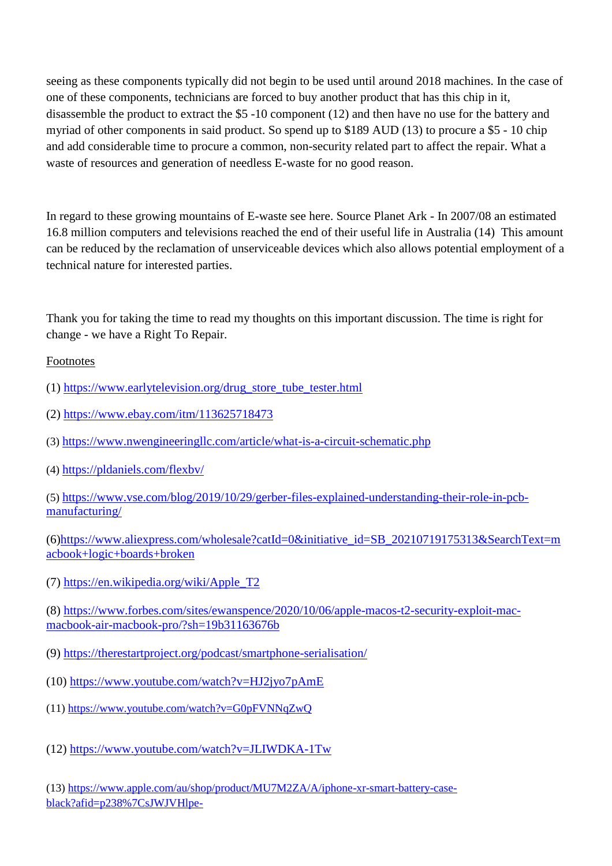seeing as these components typically did not begin to be used until around 2018 machines. In the case of one of these components, technicians are forced to buy another product that has this chip in it, disassemble the product to extract the \$5 -10 component (12) and then have no use for the battery and myriad of other components in said product. So spend up to \$189 AUD (13) to procure a \$5 - 10 chip and add considerable time to procure a common, non-security related part to affect the repair. What a waste of resources and generation of needless E-waste for no good reason.

In regard to these growing mountains of E-waste see here. Source Planet Ark - In 2007/08 an estimated 16.8 million computers and televisions reached the end of their useful life in Australia (14) This amount can be reduced by the reclamation of unserviceable devices which also allows potential employment of a technical nature for interested parties.

Thank you for taking the time to read my thoughts on this important discussion. The time is right for change - we have a Right To Repair.

## Footnotes

- (1) [https://www.earlytelevision.org/drug\\_store\\_tube\\_tester.html](https://www.earlytelevision.org/drug_store_tube_tester.html)
- (2)<https://www.ebay.com/itm/113625718473>
- (3) <https://www.nwengineeringllc.com/article/what-is-a-circuit-schematic.php>
- (4) <https://pldaniels.com/flexbv/>

(5) [https://www.vse.com/blog/2019/10/29/gerber-files-explained-understanding-their-role-in-pcb](https://www.vse.com/blog/2019/10/29/gerber-files-explained-understanding-their-role-in-pcb-manufacturing/)[manufacturing/](https://www.vse.com/blog/2019/10/29/gerber-files-explained-understanding-their-role-in-pcb-manufacturing/)

(6[\)https://www.aliexpress.com/wholesale?catId=0&initiative\\_id=SB\\_20210719175313&SearchText=m](https://www.aliexpress.com/wholesale?catId=0&initiative_id=SB_20210719175313&SearchText=macbook+logic+boards+broken) [acbook+logic+boards+broken](https://www.aliexpress.com/wholesale?catId=0&initiative_id=SB_20210719175313&SearchText=macbook+logic+boards+broken)

(7) [https://en.wikipedia.org/wiki/Apple\\_T2](https://en.wikipedia.org/wiki/Apple_T2)

(8) [https://www.forbes.com/sites/ewanspence/2020/10/06/apple-macos-t2-security-exploit-mac](https://www.forbes.com/sites/ewanspence/2020/10/06/apple-macos-t2-security-exploit-mac-macbook-air-macbook-pro/?sh=19b31163676b)[macbook-air-macbook-pro/?sh=19b31163676b](https://www.forbes.com/sites/ewanspence/2020/10/06/apple-macos-t2-security-exploit-mac-macbook-air-macbook-pro/?sh=19b31163676b)

- (9) <https://therestartproject.org/podcast/smartphone-serialisation/>
- (10)<https://www.youtube.com/watch?v=HJ2jyo7pAmE>
- (11)<https://www.youtube.com/watch?v=G0pFVNNqZwQ>
- (12)<https://www.youtube.com/watch?v=JLIWDKA-1Tw>

(13) [https://www.apple.com/au/shop/product/MU7M2ZA/A/iphone-xr-smart-battery-case](https://www.apple.com/au/shop/product/MU7M2ZA/A/iphone-xr-smart-battery-case-black?afid=p238%7CsJWJVHlpe-dc_mtid_18707vxu38484_pcrid_339469667714_pgrid_75111492424_&cid=aos-au-kwgo-pla-btb--slid---product-MU7M2)[black?afid=p238%7CsJWJVHlpe-](https://www.apple.com/au/shop/product/MU7M2ZA/A/iphone-xr-smart-battery-case-black?afid=p238%7CsJWJVHlpe-dc_mtid_18707vxu38484_pcrid_339469667714_pgrid_75111492424_&cid=aos-au-kwgo-pla-btb--slid---product-MU7M2)